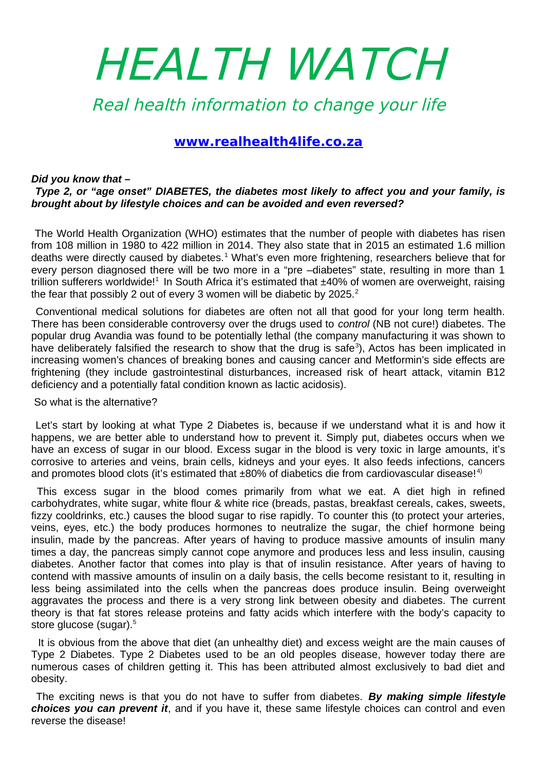# HEALTH WATCH

Real health information to change your life

# **<www.realhealth4life.co.za>**

## *Did you know that –*

# *Type 2, or "age onset" DIABETES, the diabetes most likely to affect you and your family, is brought about by lifestyle choices and can be avoided and even reversed?*

The World Health Organization (WHO) estimates that the number of people with diabetes has risen from 108 million in 1980 to 422 million in 2014. They also state that in 2015 an estimated 1.6 million deaths were directly caused by diabetes.<sup>1</sup> What's even more frightening, researchers believe that for every person diagnosed there will be two more in a "pre –diabetes" state, resulting in more than 1 trillion sufferers worldwide!<sup>1</sup> In South Africa it's estimated that  $\pm 40\%$  of women are overweight, raising the fear that possibly 2 out of every 3 women will be diabetic by  $2025.<sup>2</sup>$ 

Conventional medical solutions for diabetes are often not all that good for your long term health. There has been considerable controversy over the drugs used to *control* (NB not cure!) diabetes. The popular drug Avandia was found to be potentially lethal (the company manufacturing it was shown to have deliberately falsified the research to show that the drug is safe<sup>3</sup>), Actos has been implicated in increasing women's chances of breaking bones and causing cancer and Metformin's side effects are frightening (they include gastrointestinal disturbances, increased risk of heart attack, vitamin B12 deficiency and a potentially fatal condition known as lactic acidosis).

#### So what is the alternative?

Let's start by looking at what Type 2 Diabetes is, because if we understand what it is and how it happens, we are better able to understand how to prevent it. Simply put, diabetes occurs when we have an excess of sugar in our blood. Excess sugar in the blood is very toxic in large amounts, it's corrosive to arteries and veins, brain cells, kidneys and your eyes. It also feeds infections, cancers and promotes blood clots (it's estimated that  $\pm 80\%$  of diabetics die from cardiovascular disease!<sup>4)</sup>

This excess sugar in the blood comes primarily from what we eat. A diet high in refined carbohydrates, white sugar, white flour & white rice (breads, pastas, breakfast cereals, cakes, sweets, fizzy cooldrinks, etc.) causes the blood sugar to rise rapidly. To counter this (to protect your arteries, veins, eyes, etc.) the body produces hormones to neutralize the sugar, the chief hormone being insulin, made by the pancreas. After years of having to produce massive amounts of insulin many times a day, the pancreas simply cannot cope anymore and produces less and less insulin, causing diabetes. Another factor that comes into play is that of insulin resistance. After years of having to contend with massive amounts of insulin on a daily basis, the cells become resistant to it, resulting in less being assimilated into the cells when the pancreas does produce insulin. Being overweight aggravates the process and there is a very strong link between obesity and diabetes. The current theory is that fat stores release proteins and fatty acids which interfere with the body's capacity to store glucose (sugar).<sup>5</sup>

 It is obvious from the above that diet (an unhealthy diet) and excess weight are the main causes of Type 2 Diabetes. Type 2 Diabetes used to be an old peoples disease, however today there are numerous cases of children getting it. This has been attributed almost exclusively to bad diet and obesity.

The exciting news is that you do not have to suffer from diabetes. *By making simple lifestyle choices you can prevent it*, and if you have it, these same lifestyle choices can control and even reverse the disease!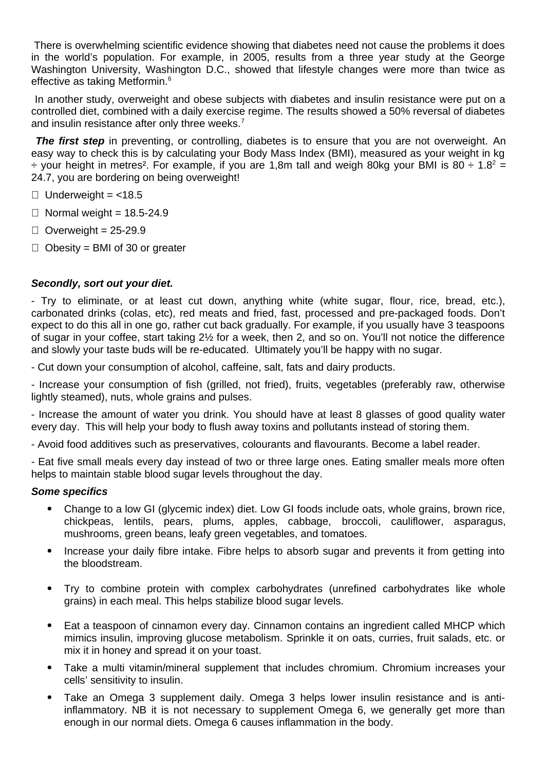There is overwhelming scientific evidence showing that diabetes need not cause the problems it does in the world's population. For example, in 2005, results from a three year study at the George Washington University, Washington D.C., showed that lifestyle changes were more than twice as effective as taking Metformin.<sup>6</sup>

In another study, overweight and obese subjects with diabetes and insulin resistance were put on a controlled diet, combined with a daily exercise regime. The results showed a 50% reversal of diabetes and insulin resistance after only three weeks.<sup>7</sup>

**The first step** in preventing, or controlling, diabetes is to ensure that you are not overweight. An easy way to check this is by calculating your Body Mass Index (BMI), measured as your weight in kg  $\div$  your height in metres<sup>2</sup>. For example, if you are 1,8m tall and weigh 80kg your BMI is 80  $\div$  1.8<sup>2</sup> = 24.7, you are bordering on being overweight!

- $\Box$  Underweight = <18.5
- $\Box$  Normal weight = 18.5-24.9
- $\Box$  Overweight = 25-29.9
- $\Box$  Obesity = BMI of 30 or greater

# *Secondly, sort out your diet.*

- Try to eliminate, or at least cut down, anything white (white sugar, flour, rice, bread, etc.), carbonated drinks (colas, etc), red meats and fried, fast, processed and pre-packaged foods. Don't expect to do this all in one go, rather cut back gradually. For example, if you usually have 3 teaspoons of sugar in your coffee, start taking 2½ for a week, then 2, and so on. You'll not notice the difference and slowly your taste buds will be re-educated. Ultimately you'll be happy with no sugar.

- Cut down your consumption of alcohol, caffeine, salt, fats and dairy products.

- Increase your consumption of fish (grilled, not fried), fruits, vegetables (preferably raw, otherwise lightly steamed), nuts, whole grains and pulses.

- Increase the amount of water you drink. You should have at least 8 glasses of good quality water every day. This will help your body to flush away toxins and pollutants instead of storing them.

- Avoid food additives such as preservatives, colourants and flavourants. Become a label reader.

- Eat five small meals every day instead of two or three large ones. Eating smaller meals more often helps to maintain stable blood sugar levels throughout the day.

### *Some specifics*

- Change to a low GI (glycemic index) diet. Low GI foods include oats, whole grains, brown rice, chickpeas, lentils, pears, plums, apples, cabbage, broccoli, cauliflower, asparagus, mushrooms, green beans, leafy green vegetables, and tomatoes.
- Increase your daily fibre intake. Fibre helps to absorb sugar and prevents it from getting into the bloodstream.
- Try to combine protein with complex carbohydrates (unrefined carbohydrates like whole grains) in each meal. This helps stabilize blood sugar levels.
- Eat a teaspoon of cinnamon every day. Cinnamon contains an ingredient called MHCP which mimics insulin, improving glucose metabolism. Sprinkle it on oats, curries, fruit salads, etc. or mix it in honey and spread it on your toast.
- Take a multi vitamin/mineral supplement that includes chromium. Chromium increases your cells' sensitivity to insulin.
- Take an Omega 3 supplement daily. Omega 3 helps lower insulin resistance and is antiinflammatory. NB it is not necessary to supplement Omega 6, we generally get more than enough in our normal diets. Omega 6 causes inflammation in the body.